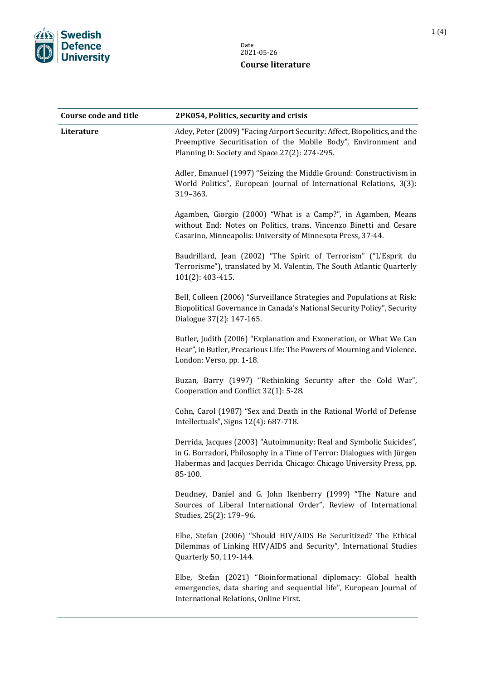

| <b>Course code and title</b> | 2PK054, Politics, security and crisis                                                                                                                                                                                            |
|------------------------------|----------------------------------------------------------------------------------------------------------------------------------------------------------------------------------------------------------------------------------|
| Literature                   | Adey, Peter (2009) "Facing Airport Security: Affect, Biopolitics, and the<br>Preemptive Securitisation of the Mobile Body", Environment and<br>Planning D: Society and Space 27(2): 274-295.                                     |
|                              | Adler, Emanuel (1997) "Seizing the Middle Ground: Constructivism in<br>World Politics", European Journal of International Relations, 3(3):<br>319-363.                                                                           |
|                              | Agamben, Giorgio (2000) "What is a Camp?", in Agamben, Means<br>without End: Notes on Politics, trans. Vincenzo Binetti and Cesare<br>Casarino, Minneapolis: University of Minnesota Press, 37-44.                               |
|                              | Baudrillard, Jean (2002) "The Spirit of Terrorism" ("L'Esprit du<br>Terrorisme"), translated by M. Valentin, The South Atlantic Quarterly<br>101(2): 403-415.                                                                    |
|                              | Bell, Colleen (2006) "Surveillance Strategies and Populations at Risk:<br>Biopolitical Governance in Canada's National Security Policy", Security<br>Dialogue 37(2): 147-165.                                                    |
|                              | Butler, Judith (2006) "Explanation and Exoneration, or What We Can<br>Hear", in Butler, Precarious Life: The Powers of Mourning and Violence.<br>London: Verso, pp. 1-18.                                                        |
|                              | Buzan, Barry (1997) "Rethinking Security after the Cold War",<br>Cooperation and Conflict 32(1): 5-28.                                                                                                                           |
|                              | Cohn, Carol (1987) "Sex and Death in the Rational World of Defense<br>Intellectuals", Signs 12(4): 687-718.                                                                                                                      |
|                              | Derrida, Jacques (2003) "Autoimmunity: Real and Symbolic Suicides",<br>in G. Borradori, Philosophy in a Time of Terror: Dialogues with Jürgen<br>Habermas and Jacques Derrida. Chicago: Chicago University Press, pp.<br>85-100. |
|                              | Deudney, Daniel and G. John Ikenberry (1999) "The Nature and<br>Sources of Liberal International Order", Review of International<br>Studies, 25(2): 179-96.                                                                      |
|                              | Elbe, Stefan (2006) "Should HIV/AIDS Be Securitized? The Ethical<br>Dilemmas of Linking HIV/AIDS and Security", International Studies<br>Quarterly 50, 119-144.                                                                  |
|                              | Elbe, Stefan (2021) "Bioinformational diplomacy: Global health<br>emergencies, data sharing and sequential life", European Journal of<br>International Relations, Online First.                                                  |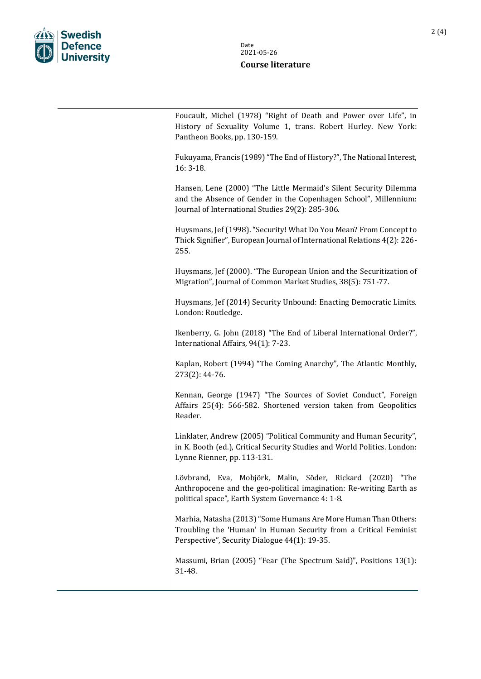

Foucault, Michel (1978) "Right of Death and Power over Life", in History of Sexuality Volume 1, trans. Robert Hurley. New York: Pantheon Books, pp. 130-159.

Fukuyama, Francis (1989) "The End of History?", The National Interest, 16: 3-18.

Hansen, Lene (2000) "The Little Mermaid's Silent Security Dilemma and the Absence of Gender in the Copenhagen School", Millennium: Journal of International Studies 29(2): 285-306.

Huysmans, Jef (1998). "Security! What Do You Mean? From Concept to Thick Signifier", European Journal of International Relations 4(2): 226- 255.

Huysmans, Jef (2000). "The European Union and the Securitization of Migration", Journal of Common Market Studies, 38(5): 751-77.

Huysmans, Jef (2014) Security Unbound: Enacting Democratic Limits. London: Routledge.

Ikenberry, G. John (2018) "The End of Liberal International Order?", International Affairs, 94(1): 7-23.

Kaplan, Robert (1994) "The Coming Anarchy", The Atlantic Monthly, 273(2): 44-76.

Kennan, George (1947) "The Sources of Soviet Conduct", Foreign Affairs 25(4): 566-582. Shortened version taken from Geopolitics Reader.

Linklater, Andrew (2005) "Political Community and Human Security", in K. Booth (ed.), Critical Security Studies and World Politics. London: Lynne Rienner, pp. 113-131.

Lövbrand, Eva, Mobjörk, Malin, Söder, Rickard (2020) "The Anthropocene and the geo-political imagination: Re-writing Earth as political space", Earth System Governance 4: 1-8.

Marhia, Natasha (2013) "Some Humans Are More Human Than Others: Troubling the 'Human' in Human Security from a Critical Feminist Perspective", Security Dialogue 44(1): 19-35.

Massumi, Brian (2005) "Fear (The Spectrum Said)", Positions 13(1): 31-48.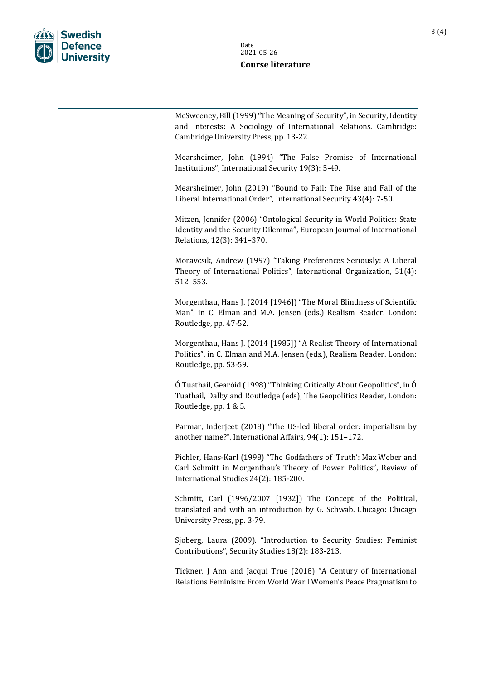

McSweeney, Bill (1999) "The Meaning of Security", in Security, Identity and Interests: A Sociology of International Relations. Cambridge: Cambridge University Press, pp. 13-22.

Mearsheimer, John (1994) "The False Promise of International Institutions", International Security 19(3): 5-49.

Mearsheimer, John (2019) "Bound to Fail: The Rise and Fall of the Liberal International Order", International Security 43(4): 7-50.

Mitzen, Jennifer (2006) "Ontological Security in World Politics: State Identity and the Security Dilemma", European Journal of International Relations, 12(3): 341–370.

Moravcsik, Andrew (1997) "Taking Preferences Seriously: A Liberal Theory of International Politics", International Organization, 51(4): 512–553.

Morgenthau, Hans J. (2014 [1946]) "The Moral Blindness of Scientific Man", in C. Elman and M.A. Jensen (eds.) Realism Reader. London: Routledge, pp. 47-52.

Morgenthau, Hans J. (2014 [1985]) "A Realist Theory of International Politics", in C. Elman and M.A. Jensen (eds.), Realism Reader. London: Routledge, pp. 53-59.

Ó Tuathail, Gearóid (1998) "Thinking Critically About Geopolitics", in Ó Tuathail, Dalby and Routledge (eds), The Geopolitics Reader, London: Routledge, pp. 1 & 5.

Parmar, Inderjeet (2018) "The US-led liberal order: imperialism by another name?", International Affairs, 94(1): 151–172.

Pichler, Hans-Karl (1998) "The Godfathers of 'Truth': Max Weber and Carl Schmitt in Morgenthau's Theory of Power Politics", Review of International Studies 24(2): 185-200.

Schmitt, Carl (1996/2007 [1932]) The Concept of the Political, translated and with an introduction by G. Schwab. Chicago: Chicago University Press, pp. 3-79.

Sjoberg, Laura (2009). "Introduction to Security Studies: Feminist Contributions", Security Studies 18(2): 183-213.

Tickner, J Ann and Jacqui True (2018) "A Century of International Relations Feminism: From World War I Women's Peace Pragmatism to